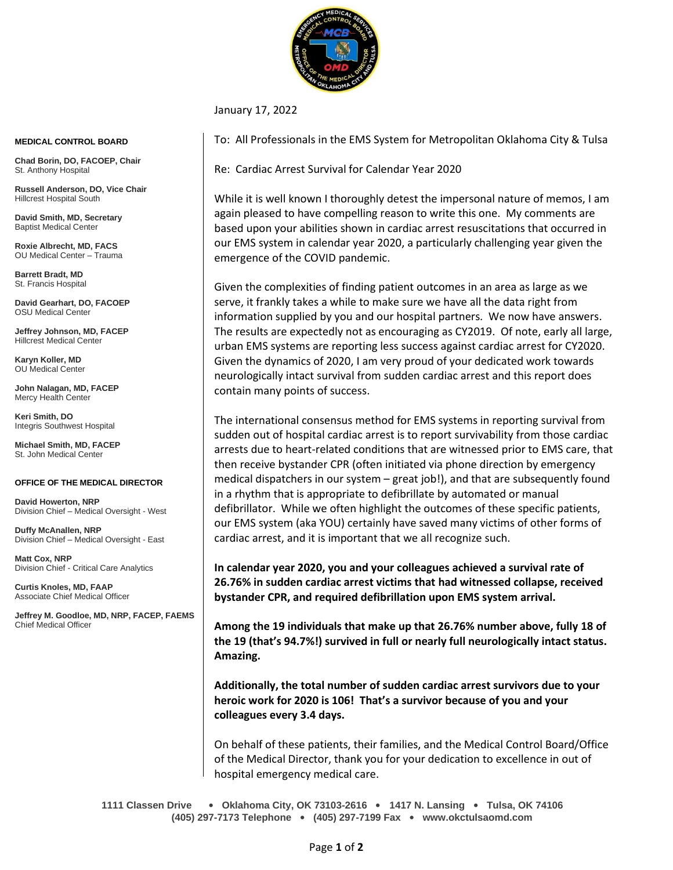

## January 17, 2022

To: All Professionals in the EMS System for Metropolitan Oklahoma City & Tulsa

Re: Cardiac Arrest Survival for Calendar Year 2020

While it is well known I thoroughly detest the impersonal nature of memos, I am again pleased to have compelling reason to write this one. My comments are based upon your abilities shown in cardiac arrest resuscitations that occurred in our EMS system in calendar year 2020, a particularly challenging year given the emergence of the COVID pandemic.

Given the complexities of finding patient outcomes in an area as large as we serve, it frankly takes a while to make sure we have all the data right from information supplied by you and our hospital partners. We now have answers. The results are expectedly not as encouraging as CY2019. Of note, early all large, urban EMS systems are reporting less success against cardiac arrest for CY2020. Given the dynamics of 2020, I am very proud of your dedicated work towards neurologically intact survival from sudden cardiac arrest and this report does contain many points of success.

The international consensus method for EMS systems in reporting survival from sudden out of hospital cardiac arrest is to report survivability from those cardiac arrests due to heart-related conditions that are witnessed prior to EMS care, that then receive bystander CPR (often initiated via phone direction by emergency medical dispatchers in our system – great job!), and that are subsequently found in a rhythm that is appropriate to defibrillate by automated or manual defibrillator. While we often highlight the outcomes of these specific patients, our EMS system (aka YOU) certainly have saved many victims of other forms of cardiac arrest, and it is important that we all recognize such.

**In calendar year 2020, you and your colleagues achieved a survival rate of 26.76% in sudden cardiac arrest victims that had witnessed collapse, received bystander CPR, and required defibrillation upon EMS system arrival.** 

**Among the 19 individuals that make up that 26.76% number above, fully 18 of the 19 (that's 94.7%!) survived in full or nearly full neurologically intact status. Amazing.**

**Additionally, the total number of sudden cardiac arrest survivors due to your heroic work for 2020 is 106! That's a survivor because of you and your colleagues every 3.4 days.**

On behalf of these patients, their families, and the Medical Control Board/Office of the Medical Director, thank you for your dedication to excellence in out of hospital emergency medical care.

**1111 Classen Drive** • **Oklahoma City, OK 73103-2616** • **1417 N. Lansing** • **Tulsa, OK 74106 (405) 297-7173 Telephone** • **(405) 297-7199 Fax** • **www.okctulsaomd.com**

## **MEDICAL CONTROL BOARD**

**Chad Borin, DO, FACOEP, Chair**  St. Anthony Hospital

**Russell Anderson, DO, Vice Chair** Hillcrest Hospital South

**David Smith, MD, Secretary** Baptist Medical Center

**Roxie Albrecht, MD, FACS** OU Medical Center – Trauma

**Barrett Bradt, MD** St. Francis Hospital

**David Gearhart, DO, FACOEP** OSU Medical Center

**Jeffrey Johnson, MD, FACEP** Hillcrest Medical Center

**Karyn Koller, MD** OU Medical Center

**John Nalagan, MD, FACEP** Mercy Health Center

**Keri Smith, DO** Integris Southwest Hospital

**Michael Smith, MD, FACEP** St. John Medical Center

## **OFFICE OF THE MEDICAL DIRECTOR**

**David Howerton, NRP** Division Chief – Medical Oversight - West

**Duffy McAnallen, NRP** Division Chief – Medical Oversight - East

**Matt Cox, NRP** Division Chief - Critical Care Analytics

**Curtis Knoles, MD, FAAP** Associate Chief Medical Officer

**Jeffrey M. Goodloe, MD, NRP, FACEP, FAEMS** Chief Medical Officer